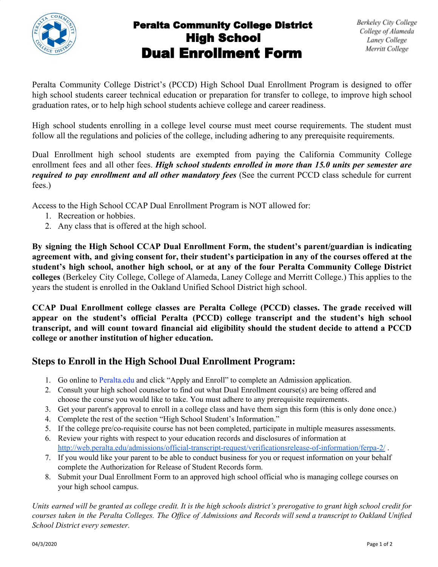

## Peralta Community College District High School Dual Enrollment Form

Peralta Community College District's (PCCD) High School Dual Enrollment Program is designed to offer high school students career technical education or preparation for transfer to college, to improve high school graduation rates, or to help high school students achieve college and career readiness.

High school students enrolling in a college level course must meet course requirements. The student must follow all the regulations and policies of the college, including adhering to any prerequisite requirements.

Dual Enrollment high school students are exempted from paying the California Community College enrollment fees and all other fees. *High school students enrolled in more than 15.0 units per semester are required to pay enrollment and all other mandatory fees* (See the current PCCD class schedule for current fees.)

Access to the High School CCAP Dual Enrollment Program is NOT allowed for:

- 1. Recreation or hobbies.
- 2. Any class that is offered at the high school.

**By signing the High School CCAP Dual Enrollment Form, the student's parent/guardian is indicating agreement with, and giving consent for, their student's participation in any of the courses offered at the student's high school, another high school, or at any of the four Peralta Community College District colleges** (Berkeley City College, College of Alameda, Laney College and Merritt College.) This applies to the years the student is enrolled in the Oakland Unified School District high school.

**CCAP Dual Enrollment college classes are Peralta College (PCCD) classes. The grade received will appear on the student's official Peralta (PCCD) college transcript and the student's high school transcript, and will count toward financial aid eligibility should the student decide to attend a PCCD college or another institution of higher education.**

## **Steps to Enroll in the High School Dual Enrollment Program:**

- 1. Go online to Peralta.edu and click "Apply and Enroll" to complete an Admission application.
- 2. Consult your high school counselor to find out what Dual Enrollment course(s) are being offered and choose the course you would like to take. You must adhere to any prerequisite requirements.
- 3. Get your parent's approval to enroll in a college class and have them sign this form (this is only done once.)
- 4. Complete the rest of the section "High School Student's Information."
- 5. If the college pre/co-requisite course has not been completed, participate in multiple measures assessments.
- 6. Review your rights with respect to your education records and disclosures of information at <http://web.peralta.edu/admissions/official-transcript-request/verificationsrelease-of-information/ferpa-2/> .
- 7. If you would like your parent to be able to conduct business for you or request information on your behalf complete the Authorization for Release of Student Records form.
- 8. Submit your Dual Enrollment Form to an approved high school official who is managing college courses on your high school campus.

*Units earned will be granted as college credit. It is the high schools district's prerogative to grant high school credit for courses taken in the Peralta Colleges. The Office of Admissions and Records will send a transcript to Oakland Unified School District every semester.*